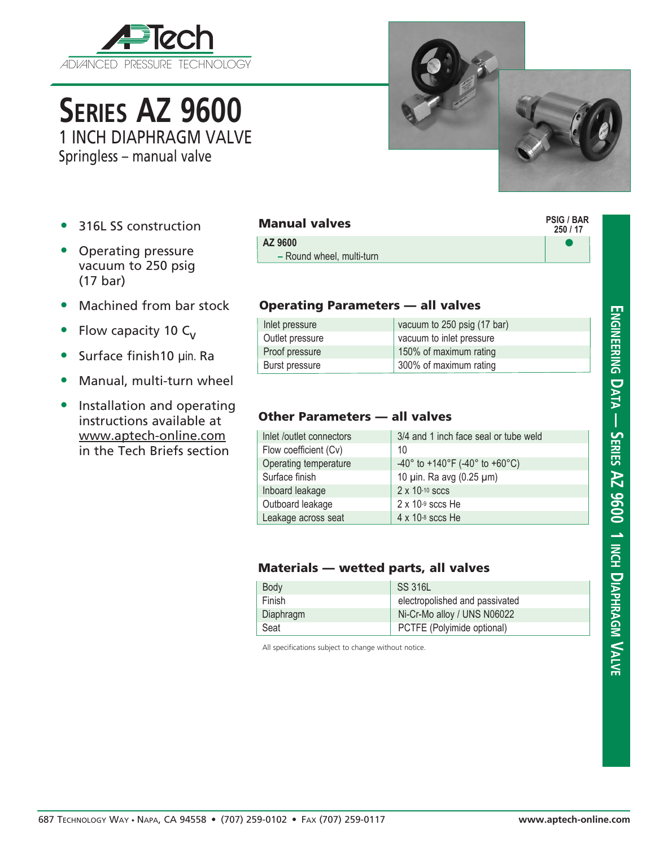

**Series AZ 9600** 1 INCH DIAPHRAGM VALVE

Springless – manual valve

- 316L SS construction
- Operating pressure vacuum to 250 psig (17 bar)
- Machined from bar stock
- Flow capacity 10  $C_v$
- Surface finish10 µin. Ra
- Manual, multi-turn wheel
- Installation and operating instructions available at www.aptech-online.com in the Tech Briefs section

| <b>Manual valves</b> |                           |  |
|----------------------|---------------------------|--|
|                      | AZ 9600                   |  |
|                      | - Round wheel, multi-turn |  |

## Operating Parameters — all valves

| Inlet pressure        | vacuum to 250 psig (17 bar) |
|-----------------------|-----------------------------|
| Outlet pressure       | vacuum to inlet pressure    |
| Proof pressure        | 150% of maximum rating      |
| <b>Burst pressure</b> | 300% of maximum rating      |

## Other Parameters — all valves

| Inlet /outlet connectors | 3/4 and 1 inch face seal or tube weld             |
|--------------------------|---------------------------------------------------|
| Flow coefficient (Cv)    | 10                                                |
| Operating temperature    | $-40^{\circ}$ to $+140^{\circ}$ F (-40° to +60°C) |
| Surface finish           | 10 pin. Ra avg (0.25 pm)                          |
| Inboard leakage          | $2 \times 10^{-10}$ sccs                          |
| Outboard leakage         | $2 \times 10^{-9}$ sccs He                        |
| Leakage across seat      | $4 \times 10^{-8}$ sccs He                        |

## Materials — wetted parts, all valves

| <b>Body</b> | SS 316L                        |
|-------------|--------------------------------|
| Finish      | electropolished and passivated |
| Diaphragm   | Ni-Cr-Mo alloy / UNS N06022    |
| Seat        | PCTFE (Polyimide optional)     |

All specifications subject to change without notice.